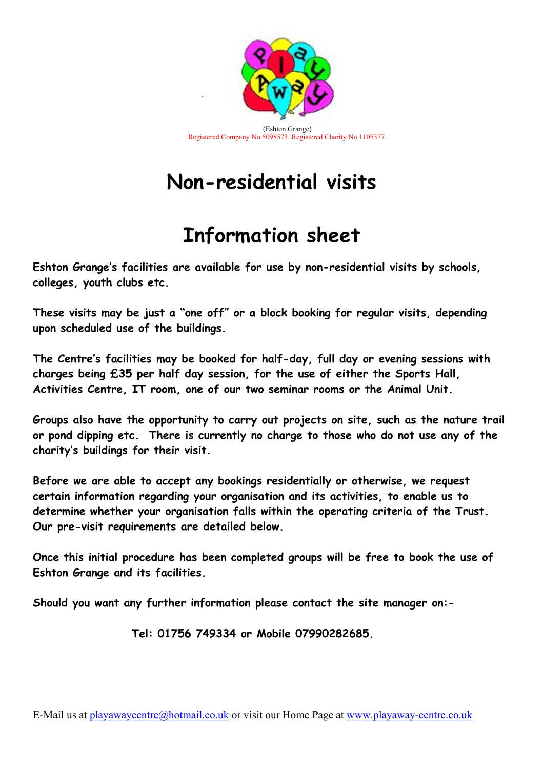

## Non-residential visits

## Information sheet

Eshton Grange's facilities are available for use by non-residential visits by schools, colleges, youth clubs etc.

These visits may be just a "one off" or a block booking for regular visits, depending upon scheduled use of the buildings.

The Centre's facilities may be booked for half-day, full day or evening sessions with charges being £35 per half day session, for the use of either the Sports Hall, Activities Centre, IT room, one of our two seminar rooms or the Animal Unit.

Groups also have the opportunity to carry out projects on site, such as the nature trail or pond dipping etc. There is currently no charge to those who do not use any of the charity's buildings for their visit.

Before we are able to accept any bookings residentially or otherwise, we request certain information regarding your organisation and its activities, to enable us to determine whether your organisation falls within the operating criteria of the Trust. Our pre-visit requirements are detailed below.

Once this initial procedure has been completed groups will be free to book the use of Eshton Grange and its facilities.

Should you want any further information please contact the site manager on:-

Tel: 01756 749334 or Mobile 07990282685.